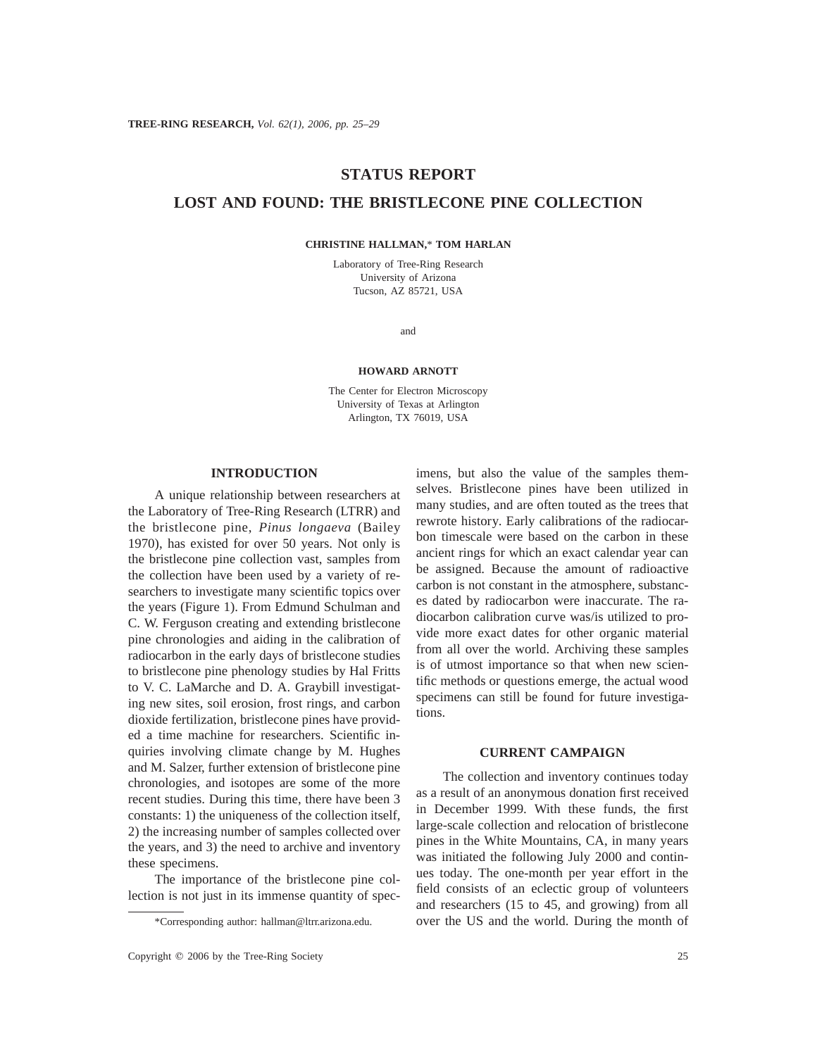# **STATUS REPORT**

# **LOST AND FOUND: THE BRISTLECONE PINE COLLECTION**

**CHRISTINE HALLMAN,**\* **TOM HARLAN**

Laboratory of Tree-Ring Research University of Arizona Tucson, AZ 85721, USA

and

#### **HOWARD ARNOTT**

The Center for Electron Microscopy University of Texas at Arlington Arlington, TX 76019, USA

## **INTRODUCTION**

A unique relationship between researchers at the Laboratory of Tree-Ring Research (LTRR) and the bristlecone pine, *Pinus longaeva* (Bailey 1970), has existed for over 50 years. Not only is the bristlecone pine collection vast, samples from the collection have been used by a variety of researchers to investigate many scientific topics over the years (Figure 1). From Edmund Schulman and C. W. Ferguson creating and extending bristlecone pine chronologies and aiding in the calibration of radiocarbon in the early days of bristlecone studies to bristlecone pine phenology studies by Hal Fritts to V. C. LaMarche and D. A. Graybill investigating new sites, soil erosion, frost rings, and carbon dioxide fertilization, bristlecone pines have provided a time machine for researchers. Scientific inquiries involving climate change by M. Hughes and M. Salzer, further extension of bristlecone pine chronologies, and isotopes are some of the more recent studies. During this time, there have been 3 constants: 1) the uniqueness of the collection itself, 2) the increasing number of samples collected over the years, and 3) the need to archive and inventory these specimens.

The importance of the bristlecone pine collection is not just in its immense quantity of spec-

imens, but also the value of the samples themselves. Bristlecone pines have been utilized in many studies, and are often touted as the trees that rewrote history. Early calibrations of the radiocarbon timescale were based on the carbon in these ancient rings for which an exact calendar year can be assigned. Because the amount of radioactive carbon is not constant in the atmosphere, substances dated by radiocarbon were inaccurate. The radiocarbon calibration curve was/is utilized to provide more exact dates for other organic material from all over the world. Archiving these samples is of utmost importance so that when new scientific methods or questions emerge, the actual wood specimens can still be found for future investigations.

#### **CURRENT CAMPAIGN**

The collection and inventory continues today as a result of an anonymous donation first received in December 1999. With these funds, the first large-scale collection and relocation of bristlecone pines in the White Mountains, CA, in many years was initiated the following July 2000 and continues today. The one-month per year effort in the field consists of an eclectic group of volunteers and researchers (15 to 45, and growing) from all over the US and the world. During the month of

<sup>\*</sup>Corresponding author: hallman@ltrr.arizona.edu.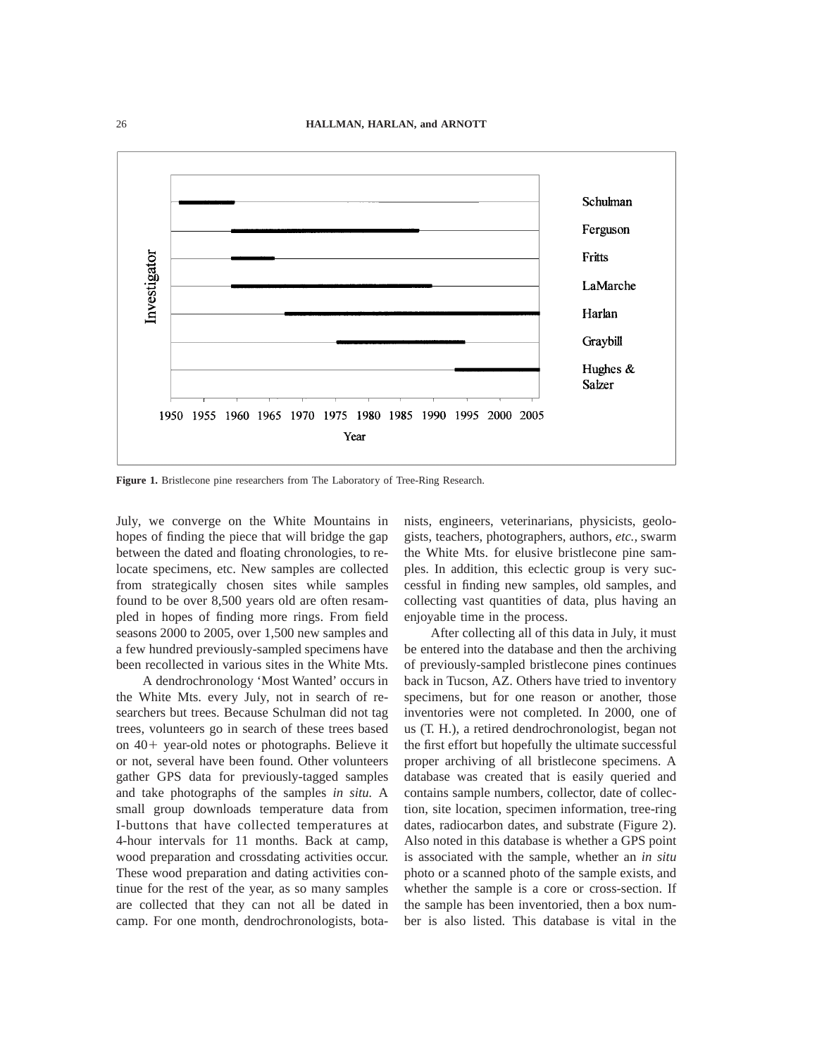

**Figure 1.** Bristlecone pine researchers from The Laboratory of Tree-Ring Research.

July, we converge on the White Mountains in hopes of finding the piece that will bridge the gap between the dated and floating chronologies, to relocate specimens, etc. New samples are collected from strategically chosen sites while samples found to be over 8,500 years old are often resampled in hopes of finding more rings. From field seasons 2000 to 2005, over 1,500 new samples and a few hundred previously-sampled specimens have been recollected in various sites in the White Mts.

A dendrochronology 'Most Wanted' occurs in the White Mts. every July, not in search of researchers but trees. Because Schulman did not tag trees, volunteers go in search of these trees based on  $40+$  year-old notes or photographs. Believe it or not, several have been found. Other volunteers gather GPS data for previously-tagged samples and take photographs of the samples *in situ.* A small group downloads temperature data from I-buttons that have collected temperatures at 4-hour intervals for 11 months. Back at camp, wood preparation and crossdating activities occur. These wood preparation and dating activities continue for the rest of the year, as so many samples are collected that they can not all be dated in camp. For one month, dendrochronologists, bota-

nists, engineers, veterinarians, physicists, geologists, teachers, photographers, authors, *etc.,* swarm the White Mts. for elusive bristlecone pine samples. In addition, this eclectic group is very successful in finding new samples, old samples, and collecting vast quantities of data, plus having an enjoyable time in the process.

After collecting all of this data in July, it must be entered into the database and then the archiving of previously-sampled bristlecone pines continues back in Tucson, AZ. Others have tried to inventory specimens, but for one reason or another, those inventories were not completed. In 2000, one of us (T. H.), a retired dendrochronologist, began not the first effort but hopefully the ultimate successful proper archiving of all bristlecone specimens. A database was created that is easily queried and contains sample numbers, collector, date of collection, site location, specimen information, tree-ring dates, radiocarbon dates, and substrate (Figure 2). Also noted in this database is whether a GPS point is associated with the sample, whether an *in situ* photo or a scanned photo of the sample exists, and whether the sample is a core or cross-section. If the sample has been inventoried, then a box number is also listed. This database is vital in the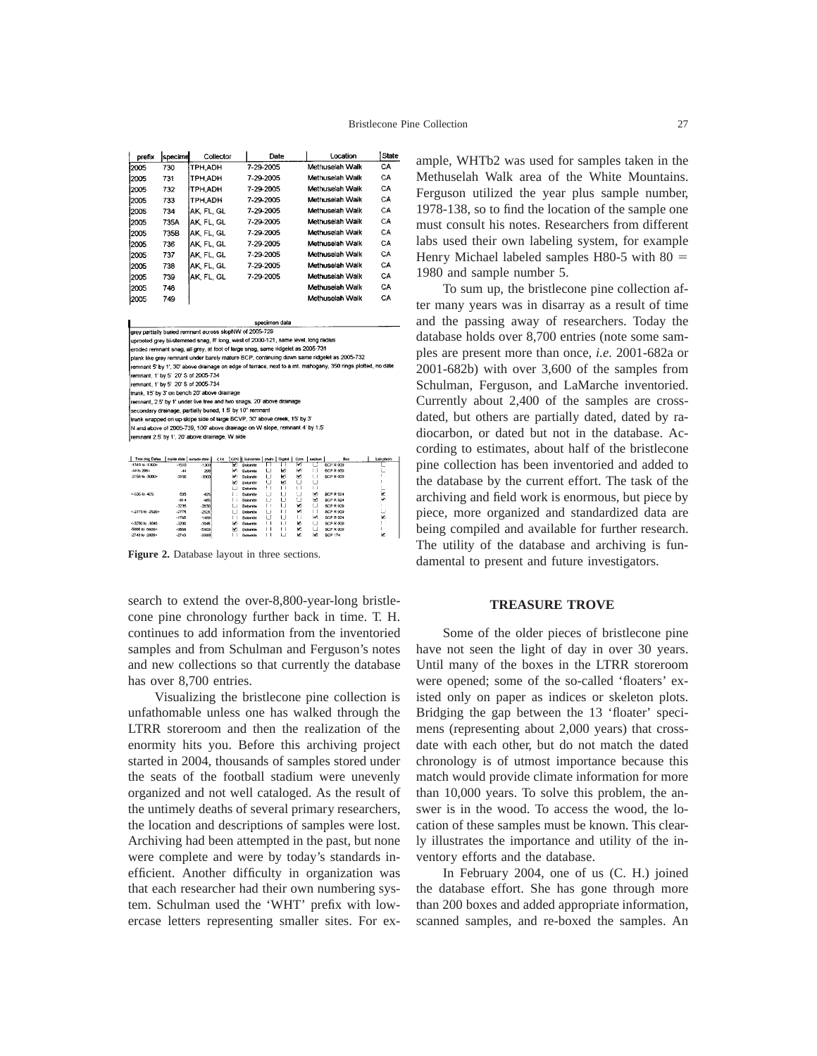| prefix | specime | Collector      | Date      | Location        | <b>State</b> |
|--------|---------|----------------|-----------|-----------------|--------------|
| 2005   | 730     | TPH ADH        | 7-29-2005 | Methuselah Walk | CA           |
| 2005   | 731     | TPH.ADH        | 7-29-2005 | Methuselah Walk | CА           |
| 2005   | 732     | <b>TPH ADH</b> | 7-29-2005 | Methuselah Walk | CA           |
| 2005   | 733     | TPH.ADH        | 7-29-2005 | Methuselah Walk | CA           |
| 2005   | 734     | AK. FL. GL     | 7-29-2005 | Methuselah Walk | CA           |
| 2005   | 735A    | AK. FL. GL     | 7-29-2005 | Methuselah Walk | CA           |
| 2005   | 735B    | AK. FL. GL     | 7-29-2005 | Methuselah Walk | CА           |
| 2005   | 736     | AK. FL. GL     | 7-29-2005 | Methuselah Walk | CA           |
| 2005   | 737     | IAK. FL. GL    | 7-29-2005 | Methuselah Walk | CA           |
| 2005   | 738     | AK. FL. GL     | 7-29-2005 | Methuselah Walk | CА           |
| 2005   | 739     | AK. FL. GL     | 7-29-2005 | Methuselah Walk | CА           |
| 2005   | 748     |                |           | Methuselah Walk | CA           |
| 2005   | 749     |                |           | Methuselah Walk | СA           |

grey partially buried remnant across slopNW of 2005-729 ink like grev remnant under barely mature BCP, continuing down same ridgelet as 2005-732 minimum 5" by 1", 30" above drainage on edge of terrace, next to a mt. mahogany, 350 rings plotted, no dat emnant, 1' by 5' 20' S of 2005-734 remnant, 1' by 5' 20' S of 2005-734 trunk. 15' by 3' on bench 20' above drainage mmant, 2.5' by 1' under live tree and two snags, 20' above drainage econdary drainage, partially buried, 1.5' by 10" remnant trunk wrapped on up slope side of large BCVP, 30' above creek, 15' by 3 and above of 2005-739, 100' above drainage on W slope, remnant 4' by 1.5 mnant 2.5' by 1', 20' above drainage, W side

| Tree ring Dates     |         | inside date   cutside date | C14 |    | GPS is Substrate |    | photo Digital | Core | pechan | Box              | Lab cholo |
|---------------------|---------|----------------------------|-----|----|------------------|----|---------------|------|--------|------------------|-----------|
| $-1518$ to $-1300r$ | $-1518$ | $-1300$                    |     | v  | <b>Dolomite</b>  |    |               | м    |        | BCP R 009        |           |
| -44 to 296>         | $-44$   | 295                        |     | ы  | Dolomite         | L  | M             | м    | Ι.     | BCP R 009        |           |
| -3156 to -3000>     | -3156   | -3000                      |     | м  | Dolomite         | ш  | м             | м    | ш      | BCP B 009        |           |
|                     |         |                            |     | м  | Dolombe          | ப  | М             |      |        |                  |           |
|                     |         |                            |     |    | <b>Dolomite</b>  | ŧ. |               |      |        |                  |           |
| <635 to -425        | -535    | $-425$                     |     |    | Dolomite         |    |               | . .  | м      | <b>BCP R 024</b> | ×         |
|                     | $-614$  | -465                       |     | ۰. | Dolomite         | w  |               |      | м      | <b>BCP R 024</b> | W.        |
|                     | $-3235$ | $-2830$                    |     |    | Dolomite         |    | L             | W    | ш      | <b>BCP R 009</b> |           |
| <- 2775 to - 2526>  | $-2775$ | $-2526$                    |     |    | Dotomile         |    | $\mathbf{L}$  | w    |        | <b>BCP R 009</b> | ا ب       |
|                     | $-1766$ | $-1469$                    |     |    | Dolomite         |    |               | . .  | м      | BCP R 024        | ×         |
| <- 3200 to - 3045   | $-3200$ | -3045                      |     | м  | Dolombe          |    | $\mathbf{I}$  | м    | ı ı    | <b>BCP R 009</b> |           |
| -5666 to -5600>     | $-5856$ | $-5600$                    |     | м  | Determine        |    |               | м.   | ш      | <b>BCP R 009</b> |           |
| -2743 to -2000>     | $-2743$ | $-2000$                    |     |    | Dolomite         | n  |               | ĸ    | м      | <b>BCP 174</b>   | z         |
|                     |         |                            |     |    |                  |    |               |      |        |                  |           |

**Figure 2.** Database layout in three sections.

search to extend the over-8,800-year-long bristlecone pine chronology further back in time. T. H. continues to add information from the inventoried samples and from Schulman and Ferguson's notes and new collections so that currently the database has over 8,700 entries.

Visualizing the bristlecone pine collection is unfathomable unless one has walked through the LTRR storeroom and then the realization of the enormity hits you. Before this archiving project started in 2004, thousands of samples stored under the seats of the football stadium were unevenly organized and not well cataloged. As the result of the untimely deaths of several primary researchers, the location and descriptions of samples were lost. Archiving had been attempted in the past, but none were complete and were by today's standards inefficient. Another difficulty in organization was that each researcher had their own numbering system. Schulman used the 'WHT' prefix with lowercase letters representing smaller sites. For example, WHTb2 was used for samples taken in the Methuselah Walk area of the White Mountains. Ferguson utilized the year plus sample number, 1978-138, so to find the location of the sample one must consult his notes. Researchers from different labs used their own labeling system, for example Henry Michael labeled samples H80-5 with  $80 =$ 1980 and sample number 5.

To sum up, the bristlecone pine collection after many years was in disarray as a result of time and the passing away of researchers. Today the database holds over 8,700 entries (note some samples are present more than once, *i.e.* 2001-682a or 2001-682b) with over 3,600 of the samples from Schulman, Ferguson, and LaMarche inventoried. Currently about 2,400 of the samples are crossdated, but others are partially dated, dated by radiocarbon, or dated but not in the database. According to estimates, about half of the bristlecone pine collection has been inventoried and added to the database by the current effort. The task of the archiving and field work is enormous, but piece by piece, more organized and standardized data are being compiled and available for further research. The utility of the database and archiving is fundamental to present and future investigators.

### **TREASURE TROVE**

Some of the older pieces of bristlecone pine have not seen the light of day in over 30 years. Until many of the boxes in the LTRR storeroom were opened; some of the so-called 'floaters' existed only on paper as indices or skeleton plots. Bridging the gap between the 13 'floater' specimens (representing about 2,000 years) that crossdate with each other, but do not match the dated chronology is of utmost importance because this match would provide climate information for more than 10,000 years. To solve this problem, the answer is in the wood. To access the wood, the location of these samples must be known. This clearly illustrates the importance and utility of the inventory efforts and the database.

In February 2004, one of us (C. H.) joined the database effort. She has gone through more than 200 boxes and added appropriate information, scanned samples, and re-boxed the samples. An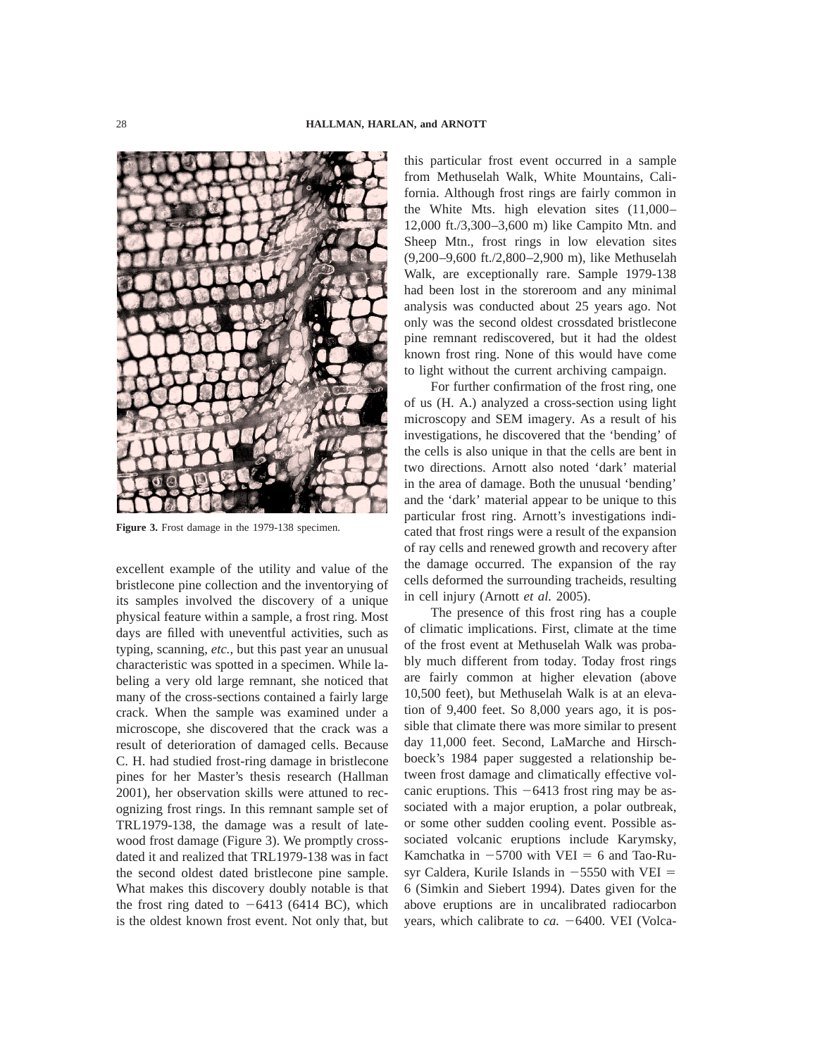

**Figure 3.** Frost damage in the 1979-138 specimen.

excellent example of the utility and value of the bristlecone pine collection and the inventorying of its samples involved the discovery of a unique physical feature within a sample, a frost ring. Most days are filled with uneventful activities, such as typing, scanning, *etc.,* but this past year an unusual characteristic was spotted in a specimen. While labeling a very old large remnant, she noticed that many of the cross-sections contained a fairly large crack. When the sample was examined under a microscope, she discovered that the crack was a result of deterioration of damaged cells. Because C. H. had studied frost-ring damage in bristlecone pines for her Master's thesis research (Hallman 2001), her observation skills were attuned to recognizing frost rings. In this remnant sample set of TRL1979-138, the damage was a result of latewood frost damage (Figure 3). We promptly crossdated it and realized that TRL1979-138 was in fact the second oldest dated bristlecone pine sample. What makes this discovery doubly notable is that the frost ring dated to  $-6413$  (6414 BC), which is the oldest known frost event. Not only that, but

this particular frost event occurred in a sample from Methuselah Walk, White Mountains, California. Although frost rings are fairly common in the White Mts. high elevation sites (11,000– 12,000 ft./3,300–3,600 m) like Campito Mtn. and Sheep Mtn., frost rings in low elevation sites (9,200–9,600 ft./2,800–2,900 m), like Methuselah Walk, are exceptionally rare. Sample 1979-138 had been lost in the storeroom and any minimal analysis was conducted about 25 years ago. Not only was the second oldest crossdated bristlecone pine remnant rediscovered, but it had the oldest known frost ring. None of this would have come to light without the current archiving campaign.

For further confirmation of the frost ring, one of us (H. A.) analyzed a cross-section using light microscopy and SEM imagery. As a result of his investigations, he discovered that the 'bending' of the cells is also unique in that the cells are bent in two directions. Arnott also noted 'dark' material in the area of damage. Both the unusual 'bending' and the 'dark' material appear to be unique to this particular frost ring. Arnott's investigations indicated that frost rings were a result of the expansion of ray cells and renewed growth and recovery after the damage occurred. The expansion of the ray cells deformed the surrounding tracheids, resulting in cell injury (Arnott *et al.* 2005).

The presence of this frost ring has a couple of climatic implications. First, climate at the time of the frost event at Methuselah Walk was probably much different from today. Today frost rings are fairly common at higher elevation (above 10,500 feet), but Methuselah Walk is at an elevation of 9,400 feet. So 8,000 years ago, it is possible that climate there was more similar to present day 11,000 feet. Second, LaMarche and Hirschboeck's 1984 paper suggested a relationship between frost damage and climatically effective volcanic eruptions. This  $-6413$  frost ring may be associated with a major eruption, a polar outbreak, or some other sudden cooling event. Possible associated volcanic eruptions include Karymsky, Kamchatka in  $-5700$  with VEI = 6 and Tao-Rusyr Caldera, Kurile Islands in  $-5550$  with VEI = 6 (Simkin and Siebert 1994). Dates given for the above eruptions are in uncalibrated radiocarbon years, which calibrate to  $ca. -6400$ . VEI (Volca